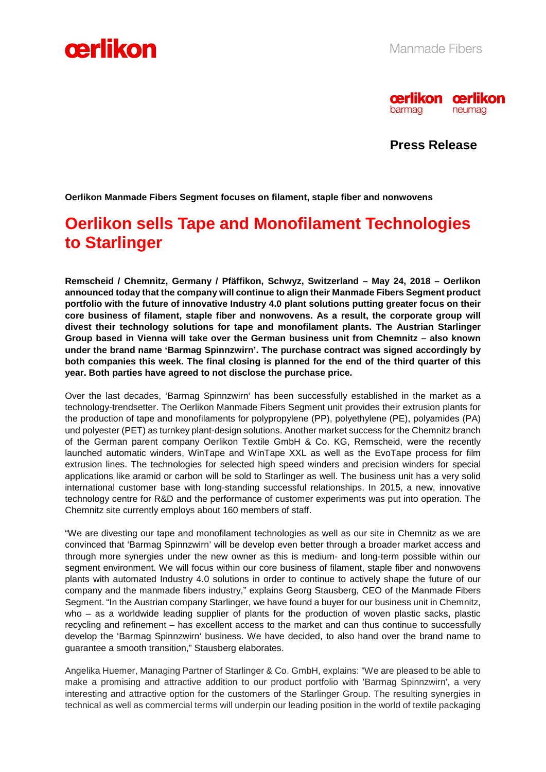



**Press Release** 

**Oerlikon Manmade Fibers Segment focuses on filament, staple fiber and nonwovens** 

## **Oerlikon sells Tape and Monofilament Technologies to Starlinger**

**Remscheid / Chemnitz, Germany / Pfäffikon, Schwyz, Switzerland – May 24, 2018 – Oerlikon announced today that the company will continue to align their Manmade Fibers Segment product portfolio with the future of innovative Industry 4.0 plant solutions putting greater focus on their core business of filament, staple fiber and nonwovens. As a result, the corporate group will divest their technology solutions for tape and monofilament plants. The Austrian Starlinger Group based in Vienna will take over the German business unit from Chemnitz – also known under the brand name 'Barmag Spinnzwirn'. The purchase contract was signed accordingly by both companies this week. The final closing is planned for the end of the third quarter of this year. Both parties have agreed to not disclose the purchase price.** 

Over the last decades, 'Barmag Spinnzwirn' has been successfully established in the market as a technology-trendsetter. The Oerlikon Manmade Fibers Segment unit provides their extrusion plants for the production of tape and monofilaments for polypropylene (PP), polyethylene (PE), polyamides (PA) und polyester (PET) as turnkey plant-design solutions. Another market success for the Chemnitz branch of the German parent company Oerlikon Textile GmbH & Co. KG, Remscheid, were the recently launched automatic winders, WinTape and WinTape XXL as well as the EvoTape process for film extrusion lines. The technologies for selected high speed winders and precision winders for special applications like aramid or carbon will be sold to Starlinger as well. The business unit has a very solid international customer base with long-standing successful relationships. In 2015, a new, innovative technology centre for R&D and the performance of customer experiments was put into operation. The Chemnitz site currently employs about 160 members of staff.

"We are divesting our tape and monofilament technologies as well as our site in Chemnitz as we are convinced that 'Barmag Spinnzwirn' will be develop even better through a broader market access and through more synergies under the new owner as this is medium- and long-term possible within our segment environment. We will focus within our core business of filament, staple fiber and nonwovens plants with automated Industry 4.0 solutions in order to continue to actively shape the future of our company and the manmade fibers industry," explains Georg Stausberg, CEO of the Manmade Fibers Segment. "In the Austrian company Starlinger, we have found a buyer for our business unit in Chemnitz, who – as a worldwide leading supplier of plants for the production of woven plastic sacks, plastic recycling and refinement – has excellent access to the market and can thus continue to successfully develop the 'Barmag Spinnzwirn' business. We have decided, to also hand over the brand name to guarantee a smooth transition," Stausberg elaborates.

Angelika Huemer, Managing Partner of Starlinger & Co. GmbH, explains: "We are pleased to be able to make a promising and attractive addition to our product portfolio with 'Barmag Spinnzwirn', a very interesting and attractive option for the customers of the Starlinger Group. The resulting synergies in technical as well as commercial terms will underpin our leading position in the world of textile packaging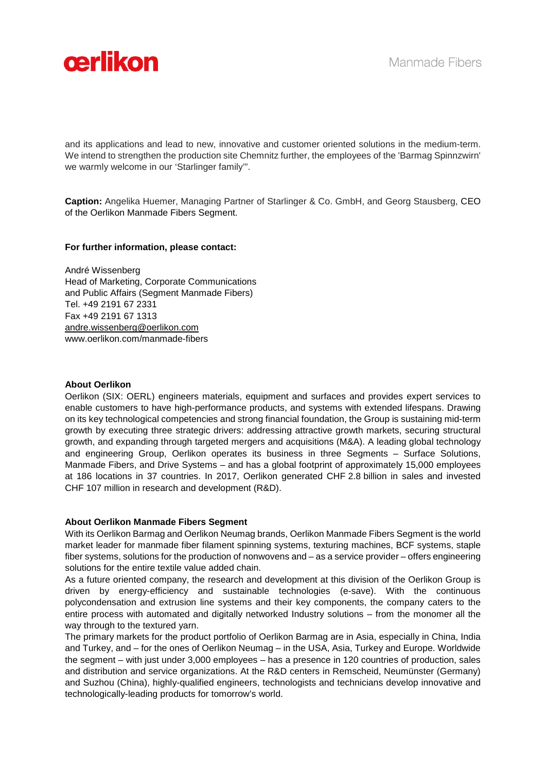

and its applications and lead to new, innovative and customer oriented solutions in the medium-term. We intend to strengthen the production site Chemnitz further, the employees of the 'Barmag Spinnzwirn' we warmly welcome in our 'Starlinger family'".

**Caption:** Angelika Huemer, Managing Partner of Starlinger & Co. GmbH, and Georg Stausberg, CEO of the Oerlikon Manmade Fibers Segment.

#### **For further information, please contact:**

André Wissenberg Head of Marketing, Corporate Communications and Public Affairs (Segment Manmade Fibers) Tel. +49 2191 67 2331 Fax +49 2191 67 1313 andre.wissenberg@oerlikon.com www.oerlikon.com/manmade-fibers

#### **About Oerlikon**

Oerlikon (SIX: OERL) engineers materials, equipment and surfaces and provides expert services to enable customers to have high-performance products, and systems with extended lifespans. Drawing on its key technological competencies and strong financial foundation, the Group is sustaining mid-term growth by executing three strategic drivers: addressing attractive growth markets, securing structural growth, and expanding through targeted mergers and acquisitions (M&A). A leading global technology and engineering Group, Oerlikon operates its business in three Segments – Surface Solutions, Manmade Fibers, and Drive Systems – and has a global footprint of approximately 15,000 employees at 186 locations in 37 countries. In 2017, Oerlikon generated CHF 2.8 billion in sales and invested CHF 107 million in research and development (R&D).

#### **About Oerlikon Manmade Fibers Segment**

With its Oerlikon Barmag and Oerlikon Neumag brands, Oerlikon Manmade Fibers Segment is the world market leader for manmade fiber filament spinning systems, texturing machines, BCF systems, staple fiber systems, solutions for the production of nonwovens and – as a service provider – offers engineering solutions for the entire textile value added chain.

As a future oriented company, the research and development at this division of the Oerlikon Group is driven by energy-efficiency and sustainable technologies (e-save). With the continuous polycondensation and extrusion line systems and their key components, the company caters to the entire process with automated and digitally networked Industry solutions – from the monomer all the way through to the textured yarn.

The primary markets for the product portfolio of Oerlikon Barmag are in Asia, especially in China, India and Turkey, and – for the ones of Oerlikon Neumag – in the USA, Asia, Turkey and Europe. Worldwide the segment – with just under 3,000 employees – has a presence in 120 countries of production, sales and distribution and service organizations. At the R&D centers in Remscheid, Neumünster (Germany) and Suzhou (China), highly-qualified engineers, technologists and technicians develop innovative and technologically-leading products for tomorrow's world.